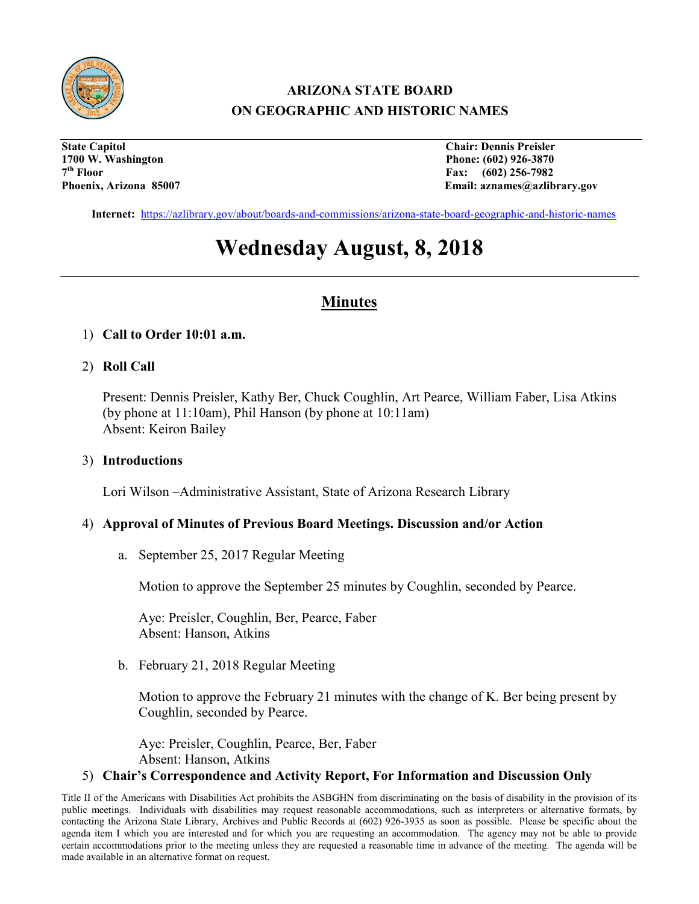

## **ARIZONA STATE BOARD ON GEOGRAPHIC AND HISTORIC NAMES**

**State Capitol Chair: Dennis Preisler 1700 W. Washington Phone: (602) 926-3870 7th Floor Fax: (602) 256-7982**

Email: aznames@azlibrary.gov

**Internet:** <https://azlibrary.gov/about/boards-and-commissions/arizona-state-board-geographic-and-historic-names>

# **Wednesday August, 8, 2018**

### **Minutes**

#### 1) **Call to Order 10:01 a.m.**

#### 2) **Roll Call**

Present: Dennis Preisler, Kathy Ber, Chuck Coughlin, Art Pearce, William Faber, Lisa Atkins (by phone at 11:10am), Phil Hanson (by phone at 10:11am) Absent: Keiron Bailey

#### 3) **Introductions**

Lori Wilson –Administrative Assistant, State of Arizona Research Library

#### 4) **Approval of Minutes of Previous Board Meetings. Discussion and/or Action**

a. September 25, 2017 Regular Meeting

Motion to approve the September 25 minutes by Coughlin, seconded by Pearce.

Aye: Preisler, Coughlin, Ber, Pearce, Faber Absent: Hanson, Atkins

b. February 21, 2018 Regular Meeting

Motion to approve the February 21 minutes with the change of K. Ber being present by Coughlin, seconded by Pearce.

Aye: Preisler, Coughlin, Pearce, Ber, Faber Absent: Hanson, Atkins

#### 5) **Chair's Correspondence and Activity Report, For Information and Discussion Only**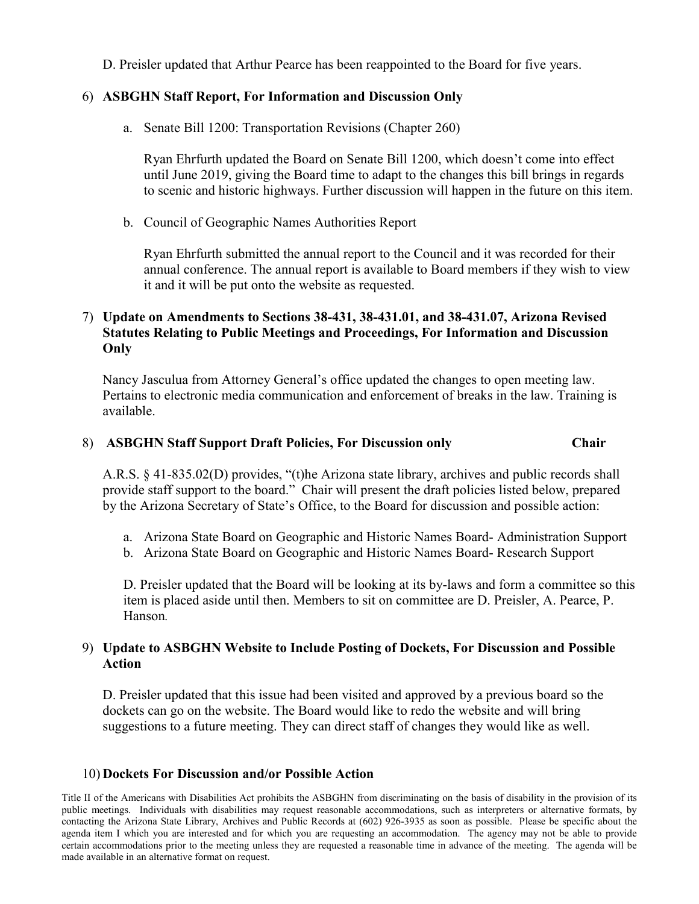D. Preisler updated that Arthur Pearce has been reappointed to the Board for five years.

#### 6) **ASBGHN Staff Report, For Information and Discussion Only**

a. Senate Bill 1200: Transportation Revisions (Chapter 260)

Ryan Ehrfurth updated the Board on Senate Bill 1200, which doesn't come into effect until June 2019, giving the Board time to adapt to the changes this bill brings in regards to scenic and historic highways. Further discussion will happen in the future on this item.

b. Council of Geographic Names Authorities Report

Ryan Ehrfurth submitted the annual report to the Council and it was recorded for their annual conference. The annual report is available to Board members if they wish to view it and it will be put onto the website as requested.

#### 7) **Update on Amendments to Sections 38-431, 38-431.01, and 38-431.07, Arizona Revised Statutes Relating to Public Meetings and Proceedings, For Information and Discussion Only**

Nancy Jasculua from Attorney General's office updated the changes to open meeting law. Pertains to electronic media communication and enforcement of breaks in the law. Training is available.

#### 8) **ASBGHN Staff Support Draft Policies, For Discussion only Chair**

A.R.S. § 41-835.02(D) provides, "(t)he Arizona state library, archives and public records shall provide staff support to the board." Chair will present the draft policies listed below, prepared by the Arizona Secretary of State's Office, to the Board for discussion and possible action:

- a. Arizona State Board on Geographic and Historic Names Board- Administration Support
- b. Arizona State Board on Geographic and Historic Names Board- Research Support

D. Preisler updated that the Board will be looking at its by-laws and form a committee so this item is placed aside until then. Members to sit on committee are D. Preisler, A. Pearce, P. Hanson*.*

#### 9) **Update to ASBGHN Website to Include Posting of Dockets, For Discussion and Possible Action**

D. Preisler updated that this issue had been visited and approved by a previous board so the dockets can go on the website. The Board would like to redo the website and will bring suggestions to a future meeting. They can direct staff of changes they would like as well.

#### 10) **Dockets For Discussion and/or Possible Action**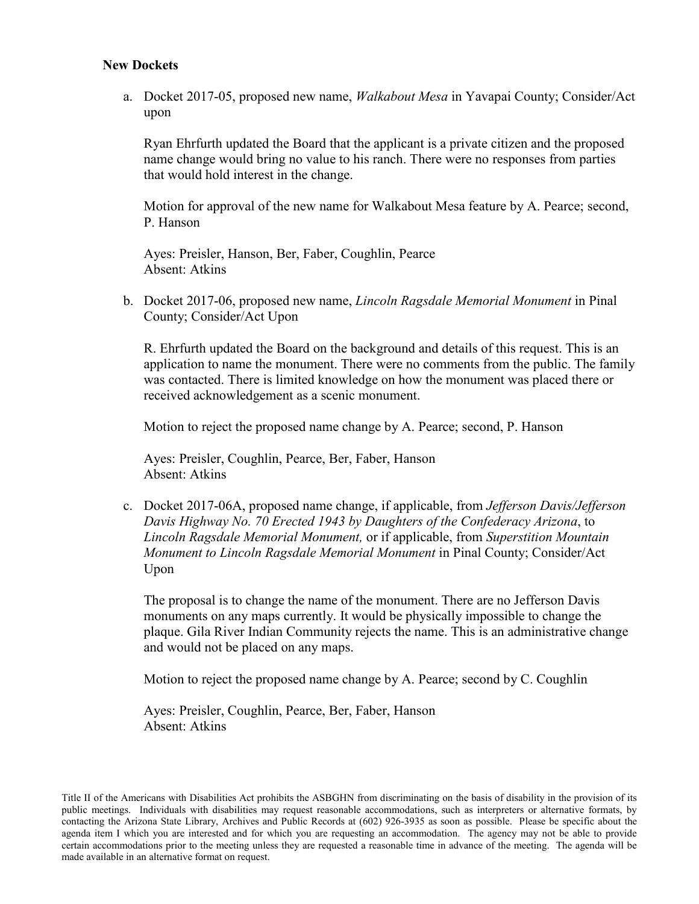#### **New Dockets**

a. Docket 2017-05, proposed new name, *Walkabout Mesa* in Yavapai County; Consider/Act upon

Ryan Ehrfurth updated the Board that the applicant is a private citizen and the proposed name change would bring no value to his ranch. There were no responses from parties that would hold interest in the change.

Motion for approval of the new name for Walkabout Mesa feature by A. Pearce; second, P. Hanson

Ayes: Preisler, Hanson, Ber, Faber, Coughlin, Pearce Absent: Atkins

b. Docket 2017-06, proposed new name, *Lincoln Ragsdale Memorial Monument* in Pinal County; Consider/Act Upon

R. Ehrfurth updated the Board on the background and details of this request. This is an application to name the monument. There were no comments from the public. The family was contacted. There is limited knowledge on how the monument was placed there or received acknowledgement as a scenic monument.

Motion to reject the proposed name change by A. Pearce; second, P. Hanson

Ayes: Preisler, Coughlin, Pearce, Ber, Faber, Hanson Absent: Atkins

c. Docket 2017-06A, proposed name change, if applicable, from *Jefferson Davis/Jefferson Davis Highway No. 70 Erected 1943 by Daughters of the Confederacy Arizona*, to *Lincoln Ragsdale Memorial Monument,* or if applicable, from *Superstition Mountain Monument to Lincoln Ragsdale Memorial Monument* in Pinal County; Consider/Act Upon

The proposal is to change the name of the monument. There are no Jefferson Davis monuments on any maps currently. It would be physically impossible to change the plaque. Gila River Indian Community rejects the name. This is an administrative change and would not be placed on any maps.

Motion to reject the proposed name change by A. Pearce; second by C. Coughlin

Ayes: Preisler, Coughlin, Pearce, Ber, Faber, Hanson Absent: Atkins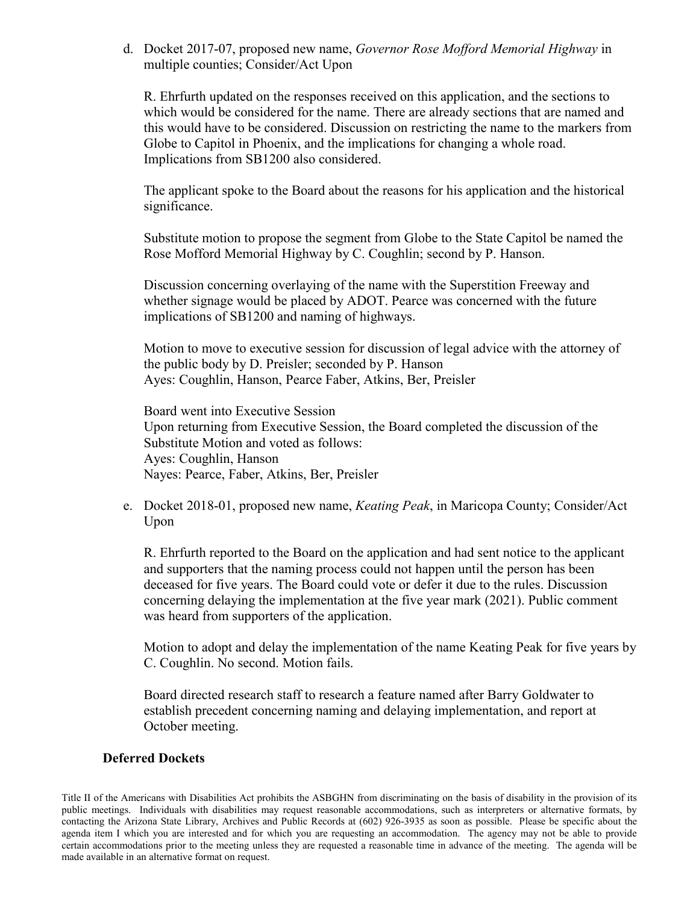d. Docket 2017-07, proposed new name, *Governor Rose Mofford Memorial Highway* in multiple counties; Consider/Act Upon

R. Ehrfurth updated on the responses received on this application, and the sections to which would be considered for the name. There are already sections that are named and this would have to be considered. Discussion on restricting the name to the markers from Globe to Capitol in Phoenix, and the implications for changing a whole road. Implications from SB1200 also considered.

The applicant spoke to the Board about the reasons for his application and the historical significance.

Substitute motion to propose the segment from Globe to the State Capitol be named the Rose Mofford Memorial Highway by C. Coughlin; second by P. Hanson.

Discussion concerning overlaying of the name with the Superstition Freeway and whether signage would be placed by ADOT. Pearce was concerned with the future implications of SB1200 and naming of highways.

Motion to move to executive session for discussion of legal advice with the attorney of the public body by D. Preisler; seconded by P. Hanson Ayes: Coughlin, Hanson, Pearce Faber, Atkins, Ber, Preisler

Board went into Executive Session Upon returning from Executive Session, the Board completed the discussion of the Substitute Motion and voted as follows: Ayes: Coughlin, Hanson Nayes: Pearce, Faber, Atkins, Ber, Preisler

e. Docket 2018-01, proposed new name, *Keating Peak*, in Maricopa County; Consider/Act Upon

R. Ehrfurth reported to the Board on the application and had sent notice to the applicant and supporters that the naming process could not happen until the person has been deceased for five years. The Board could vote or defer it due to the rules. Discussion concerning delaying the implementation at the five year mark (2021). Public comment was heard from supporters of the application.

Motion to adopt and delay the implementation of the name Keating Peak for five years by C. Coughlin. No second. Motion fails.

Board directed research staff to research a feature named after Barry Goldwater to establish precedent concerning naming and delaying implementation, and report at October meeting.

#### **Deferred Dockets**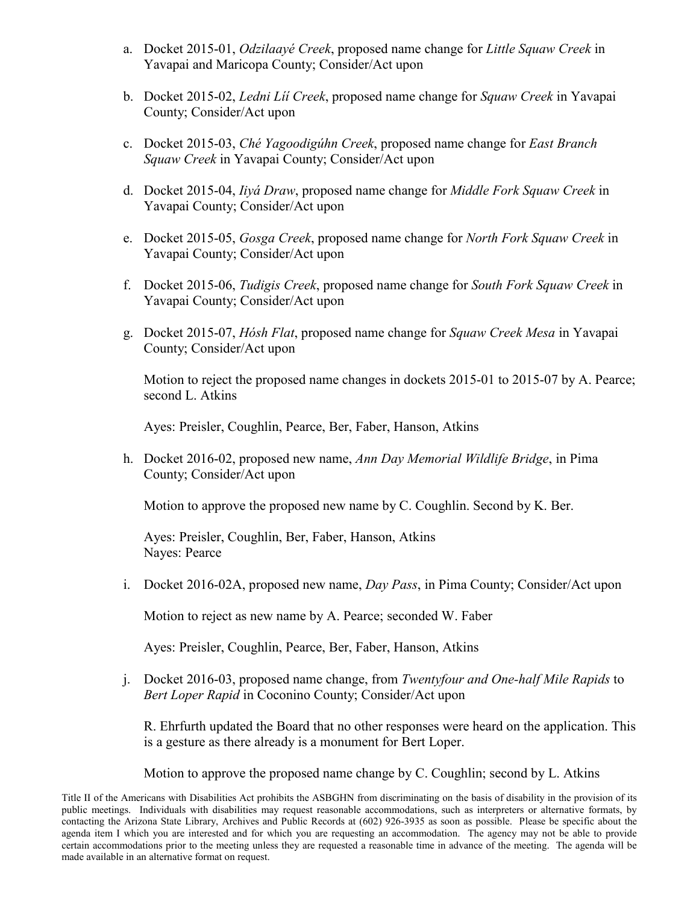- a. Docket 2015-01, *Odzilaayé Creek*, proposed name change for *Little Squaw Creek* in Yavapai and Maricopa County; Consider/Act upon
- b. Docket 2015-02, *Ledni Líí Creek*, proposed name change for *Squaw Creek* in Yavapai County; Consider/Act upon
- c. Docket 2015-03, *Ché Yagoodigúhn Creek*, proposed name change for *East Branch Squaw Creek* in Yavapai County; Consider/Act upon
- d. Docket 2015-04, *Iiyá Draw*, proposed name change for *Middle Fork Squaw Creek* in Yavapai County; Consider/Act upon
- e. Docket 2015-05, *Gosga Creek*, proposed name change for *North Fork Squaw Creek* in Yavapai County; Consider/Act upon
- f. Docket 2015-06, *Tudigis Creek*, proposed name change for *South Fork Squaw Creek* in Yavapai County; Consider/Act upon
- g. Docket 2015-07, *Hósh Flat*, proposed name change for *Squaw Creek Mesa* in Yavapai County; Consider/Act upon

Motion to reject the proposed name changes in dockets 2015-01 to 2015-07 by A. Pearce; second L. Atkins

Ayes: Preisler, Coughlin, Pearce, Ber, Faber, Hanson, Atkins

h. Docket 2016-02, proposed new name, *Ann Day Memorial Wildlife Bridge*, in Pima County; Consider/Act upon

Motion to approve the proposed new name by C. Coughlin. Second by K. Ber.

Ayes: Preisler, Coughlin, Ber, Faber, Hanson, Atkins Nayes: Pearce

i. Docket 2016-02A, proposed new name, *Day Pass*, in Pima County; Consider/Act upon

Motion to reject as new name by A. Pearce; seconded W. Faber

Ayes: Preisler, Coughlin, Pearce, Ber, Faber, Hanson, Atkins

j. Docket 2016-03, proposed name change, from *Twentyfour and One-half Mile Rapids* to *Bert Loper Rapid* in Coconino County; Consider/Act upon

R. Ehrfurth updated the Board that no other responses were heard on the application. This is a gesture as there already is a monument for Bert Loper.

Motion to approve the proposed name change by C. Coughlin; second by L. Atkins

Title II of the Americans with Disabilities Act prohibits the ASBGHN from discriminating on the basis of disability in the provision of its public meetings. Individuals with disabilities may request reasonable accommodations, such as interpreters or alternative formats, by contacting the Arizona State Library, Archives and Public Records at (602) 926-3935 as soon as possible. Please be specific about the agenda item I which you are interested and for which you are requesting an accommodation. The agency may not be able to provide certain accommodations prior to the meeting unless they are requested a reasonable time in advance of the meeting. The agenda will be made available in an alternative format on request.